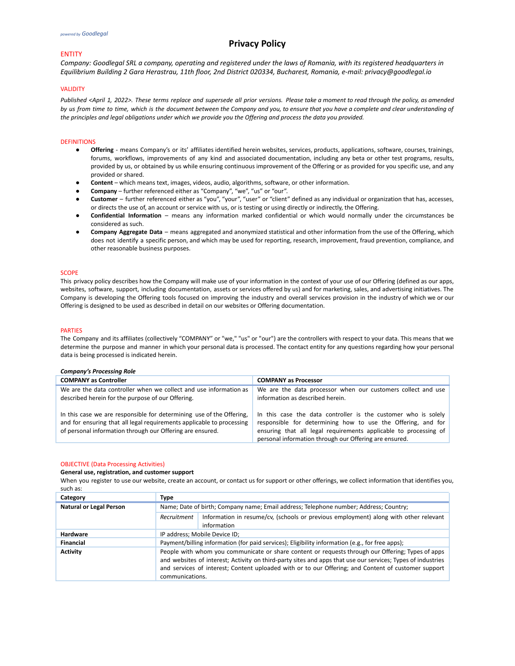# **ENTITY**

*Company: Goodlegal SRL a company, operating and registered under the laws of Romania, with its registered headquarters in Equilibrium Building 2 Gara Herastrau, 11th floor, 2nd District 020334, Bucharest, Romania, e-mail: privacy@goodlegal.io*

# VALIDITY

Published <April 1, 2022>. These terms replace and supersede all prior versions. Please take a moment to read through the policy, as amended by us from time to time, which is the document between the Company and you, to ensure that you have a complete and clear understanding of the principles and legal obligations under which we provide you the Offering and process the data you provided.

## **DEFINITIONS**

- **Offering** means Company's or its' affiliates identified herein websites, services, products, applications, software, courses, trainings, forums, workflows, improvements of any kind and associated documentation, including any beta or other test programs, results, provided by us, or obtained by us while ensuring continuous improvement of the Offering or as provided for you specific use, and any provided or shared.
- **Content** which means text, images, videos, audio, algorithms, software, or other information.
- **Company** further referenced either as "Company", "we", "us" or "our".
- **Customer** further referenced either as "you", "your", "user" or "client" defined as any individual or organization that has, accesses, or directs the use of, an account or service with us, or is testing or using directly or indirectly, the Offering.
- **Confidential Information** means any information marked confidential or which would normally under the circumstances be considered as such.
- **Company Aggregate Data** means aggregated and anonymized statistical and other information from the use of the Offering, which does not identify a specific person, and which may be used for reporting, research, improvement, fraud prevention, compliance, and other reasonable business purposes.

## **SCOPE**

This privacy policy describes how the Company will make use of your information in the context of your use of our Offering (defined as our apps, websites, software, support, including documentation, assets or services offered by us) and for marketing, sales, and advertising initiatives. The Company is developing the Offering tools focused on improving the industry and overall services provision in the industry of which we or our Offering is designed to be used as described in detail on our websites or Offering documentation.

## PARTIES

The Company and its affiliates (collectively "COMPANY" or "we," "us" or "our") are the controllers with respect to your data. This means that we determine the purpose and manner in which your personal data is processed. The contact entity for any questions regarding how your personal data is being processed is indicated herein.

| <b>Company's Processing Role</b>                                                                                                                                                                           |                                                                                                                                                                                                                                                              |
|------------------------------------------------------------------------------------------------------------------------------------------------------------------------------------------------------------|--------------------------------------------------------------------------------------------------------------------------------------------------------------------------------------------------------------------------------------------------------------|
| <b>COMPANY as Controller</b>                                                                                                                                                                               | <b>COMPANY as Processor</b>                                                                                                                                                                                                                                  |
| We are the data controller when we collect and use information as<br>described herein for the purpose of our Offering.                                                                                     | We are the data processor when our customers collect and use<br>information as described herein.                                                                                                                                                             |
| In this case we are responsible for determining use of the Offering,<br>and for ensuring that all legal requirements applicable to processing<br>of personal information through our Offering are ensured. | In this case the data controller is the customer who is solely<br>responsible for determining how to use the Offering, and for<br>ensuring that all legal requirements applicable to processing of<br>personal information through our Offering are ensured. |

## OBJECTIVE (Data Processing Activities)

## **General use, registration, and customer support**

When you register to use our website, create an account, or contact us for support or other offerings, we collect information that identifies you, such as:

| Category                       | <b>Type</b>                                                                                                                                                                                                                                                                                                                                |  |  |
|--------------------------------|--------------------------------------------------------------------------------------------------------------------------------------------------------------------------------------------------------------------------------------------------------------------------------------------------------------------------------------------|--|--|
| <b>Natural or Legal Person</b> | Name; Date of birth; Company name; Email address; Telephone number; Address; Country;                                                                                                                                                                                                                                                      |  |  |
|                                | Information in resume/cv, (schools or previous employment) along with other relevant<br>Recruitment<br>information                                                                                                                                                                                                                         |  |  |
| Hardware                       | IP address; Mobile Device ID;                                                                                                                                                                                                                                                                                                              |  |  |
| <b>Financial</b>               | Payment/billing information (for paid services); Eligibility information (e.g., for free apps);                                                                                                                                                                                                                                            |  |  |
| <b>Activity</b>                | People with whom you communicate or share content or requests through our Offering; Types of apps<br>and websites of interest; Activity on third-party sites and apps that use our services; Types of industries<br>and services of interest; Content uploaded with or to our Offering; and Content of customer support<br>communications. |  |  |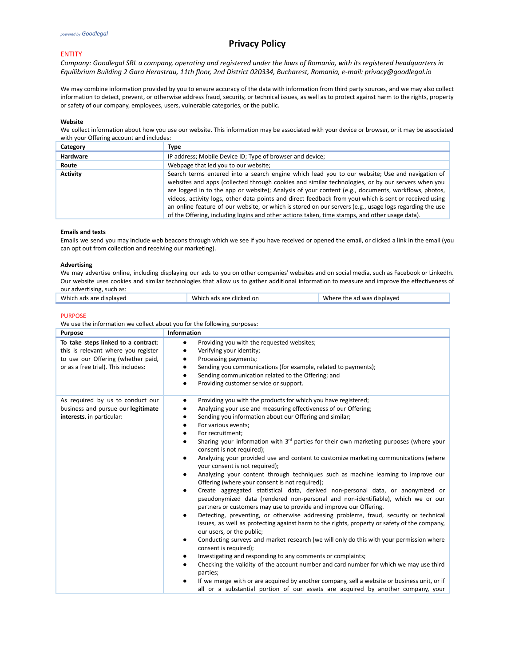# ENTITY

*Company: Goodlegal SRL a company, operating and registered under the laws of Romania, with its registered headquarters in Equilibrium Building 2 Gara Herastrau, 11th floor, 2nd District 020334, Bucharest, Romania, e-mail: privacy@goodlegal.io*

We may combine information provided by you to ensure accuracy of the data with information from third party sources, and we may also collect information to detect, prevent, or otherwise address fraud, security, or technical issues, as well as to protect against harm to the rights, property or safety of our company, employees, users, vulnerable categories, or the public.

## **Website**

We collect information about how you use our website. This information may be associated with your device or browser, or it may be associated with your Offering account and includes:

| Category        | <b>Type</b>                                                                                                                                                                                                                                                                                                                                                                                                                                                                                                                                                                                                                       |
|-----------------|-----------------------------------------------------------------------------------------------------------------------------------------------------------------------------------------------------------------------------------------------------------------------------------------------------------------------------------------------------------------------------------------------------------------------------------------------------------------------------------------------------------------------------------------------------------------------------------------------------------------------------------|
| Hardware        | IP address; Mobile Device ID; Type of browser and device;                                                                                                                                                                                                                                                                                                                                                                                                                                                                                                                                                                         |
| Route           | Webpage that led you to our website;                                                                                                                                                                                                                                                                                                                                                                                                                                                                                                                                                                                              |
| <b>Activity</b> | Search terms entered into a search engine which lead you to our website; Use and navigation of<br>websites and apps (collected through cookies and similar technologies, or by our servers when you<br>are logged in to the app or website); Analysis of your content (e.g., documents, workflows, photos,<br>videos, activity logs, other data points and direct feedback from you) which is sent or received using<br>an online feature of our website, or which is stored on our servers (e.g., usage logs regarding the use<br>of the Offering, including logins and other actions taken, time stamps, and other usage data). |

### **Emails and texts**

Emails we send you may include web beacons through which we see if you have received or opened the email, or clicked a link in the email (you can opt out from collection and receiving our marketing).

### **Advertising**

We may advertise online, including displaying our ads to you on other companies' websites and on social media, such as Facebook or LinkedIn. Our website uses cookies and similar technologies that allow us to gather additional information to measure and improve the effectiveness of our advertising, such as:

| Which ads are displaved | Which ads are clicked on | Where the ad was displayed |
|-------------------------|--------------------------|----------------------------|
|                         |                          |                            |

## PURPOSE

We use the information we collect about you for the following purposes:

| Purpose                                                                                                                                                 | <b>Information</b>                                                                                                                                                                                                                                                                                                                                                                                                                                                                                                                                                                                                                                                                                                                                                                                                                                                                                                                                                                                                                                                                                                                                                                                                                                                                                                                                                                                                                                                                                                                                                                                                                                     |
|---------------------------------------------------------------------------------------------------------------------------------------------------------|--------------------------------------------------------------------------------------------------------------------------------------------------------------------------------------------------------------------------------------------------------------------------------------------------------------------------------------------------------------------------------------------------------------------------------------------------------------------------------------------------------------------------------------------------------------------------------------------------------------------------------------------------------------------------------------------------------------------------------------------------------------------------------------------------------------------------------------------------------------------------------------------------------------------------------------------------------------------------------------------------------------------------------------------------------------------------------------------------------------------------------------------------------------------------------------------------------------------------------------------------------------------------------------------------------------------------------------------------------------------------------------------------------------------------------------------------------------------------------------------------------------------------------------------------------------------------------------------------------------------------------------------------------|
| To take steps linked to a contract:<br>this is relevant where you register<br>to use our Offering (whether paid,<br>or as a free trial). This includes: | Providing you with the requested websites;<br>$\bullet$<br>Verifying your identity;<br>Processing payments;<br>Sending you communications (for example, related to payments);<br>Sending communication related to the Offering; and<br>Providing customer service or support.                                                                                                                                                                                                                                                                                                                                                                                                                                                                                                                                                                                                                                                                                                                                                                                                                                                                                                                                                                                                                                                                                                                                                                                                                                                                                                                                                                          |
| As required by us to conduct our<br>business and pursue our legitimate<br>interests, in particular:                                                     | Providing you with the products for which you have registered;<br>$\bullet$<br>Analyzing your use and measuring effectiveness of our Offering;<br>Sending you information about our Offering and similar;<br>For various events;<br>For recruitment;<br>Sharing your information with $3rd$ parties for their own marketing purposes (where your<br>consent is not required);<br>Analyzing your provided use and content to customize marketing communications (where<br>$\bullet$<br>your consent is not required);<br>Analyzing your content through techniques such as machine learning to improve our<br>$\bullet$<br>Offering (where your consent is not required);<br>Create aggregated statistical data, derived non-personal data, or anonymized or<br>pseudonymized data (rendered non-personal and non-identifiable), which we or our<br>partners or customers may use to provide and improve our Offering.<br>Detecting, preventing, or otherwise addressing problems, fraud, security or technical<br>$\bullet$<br>issues, as well as protecting against harm to the rights, property or safety of the company,<br>our users, or the public;<br>Conducting surveys and market research (we will only do this with your permission where<br>$\bullet$<br>consent is required);<br>Investigating and responding to any comments or complaints;<br>٠<br>Checking the validity of the account number and card number for which we may use third<br>parties;<br>If we merge with or are acquired by another company, sell a website or business unit, or if<br>all or a substantial portion of our assets are acquired by another company, your |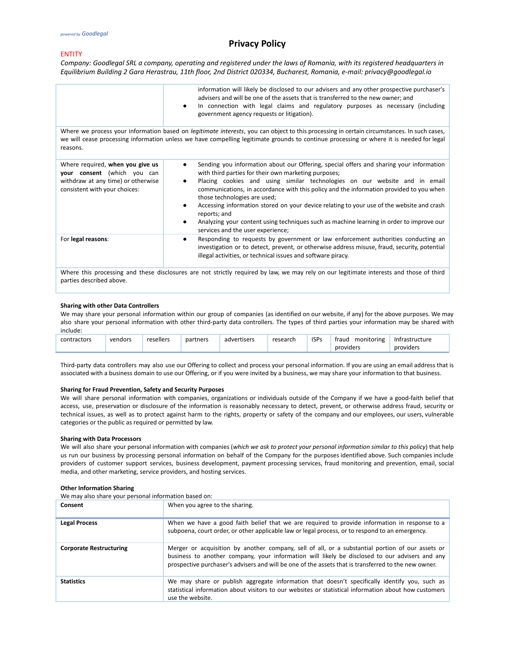# ENTITY

*Company: Goodlegal SRL a company, operating and registered under the laws of Romania, with its registered headquarters in Equilibrium Building 2 Gara Herastrau, 11th floor, 2nd District 020334, Bucharest, Romania, e-mail: privacy@goodlegal.io*

|                                                                                                                                        | information will likely be disclosed to our advisers and any other prospective purchaser's<br>advisers and will be one of the assets that is transferred to the new owner; and<br>In connection with legal claims and regulatory purposes as necessary (including<br>٠<br>government agency requests or litigation).                                                                                                                                                                                                                                                                                                               |
|----------------------------------------------------------------------------------------------------------------------------------------|------------------------------------------------------------------------------------------------------------------------------------------------------------------------------------------------------------------------------------------------------------------------------------------------------------------------------------------------------------------------------------------------------------------------------------------------------------------------------------------------------------------------------------------------------------------------------------------------------------------------------------|
| reasons.                                                                                                                               | Where we process your information based on <i>legitimate interests</i> , you can object to this processing in certain circumstances. In such cases,<br>we will cease processing information unless we have compelling legitimate grounds to continue processing or where it is needed for legal                                                                                                                                                                                                                                                                                                                                    |
| Where required, when you give us<br>your consent (which you can<br>withdraw at any time) or otherwise<br>consistent with your choices: | Sending you information about our Offering, special offers and sharing your information<br>$\bullet$<br>with third parties for their own marketing purposes;<br>Placing cookies and using similar technologies on our website and in email<br>٠<br>communications, in accordance with this policy and the information provided to you when<br>those technologies are used;<br>Accessing information stored on your device relating to your use of the website and crash<br>٠<br>reports; and<br>Analyzing your content using techniques such as machine learning in order to improve our<br>٠<br>services and the user experience; |
| For legal reasons:                                                                                                                     | Responding to requests by government or law enforcement authorities conducting an<br>٠<br>investigation or to detect, prevent, or otherwise address misuse, fraud, security, potential<br>illegal activities, or technical issues and software piracy.                                                                                                                                                                                                                                                                                                                                                                             |
| parties described above.                                                                                                               | Where this processing and these disclosures are not strictly required by law, we may rely on our legitimate interests and those of third                                                                                                                                                                                                                                                                                                                                                                                                                                                                                           |

### **Sharing with other Data Controllers**

We may share your personal information within our group of companies (as identified on our website, if any) for the above purposes. We may also share your personal information with other third-party data controllers. The types of third parties your information may be shared with include:

| contractors | vendors | resellers | partners | advertisers | research | <b>ISPs</b> | monitoring<br>traud | Infrastructure |  |
|-------------|---------|-----------|----------|-------------|----------|-------------|---------------------|----------------|--|
|             |         |           |          |             |          |             | providers           | providers      |  |

Third-party data controllers may also use our Offering to collect and process your personal information. If you are using an email address that is associated with a business domain to use our Offering, or if you were invited by a business, we may share your information to that business.

# **Sharing for Fraud Prevention, Safety and Security Purposes**

We will share personal information with companies, organizations or individuals outside of the Company if we have a good-faith belief that access, use, preservation or disclosure of the information is reasonably necessary to detect, prevent, or otherwise address fraud, security or technical issues, as well as to protect against harm to the rights, property or safety of the company and our employees, our users, vulnerable categories or the public as required or permitted by law.

#### **Sharing with Data Processors**

We will also share your personal information with companies (which we ask to protect your personal information similar to this policy) that help us run our business by processing personal information on behalf of the Company for the purposes identified above. Such companies include providers of customer support services, business development, payment processing services, fraud monitoring and prevention, email, social media, and other marketing, service providers, and hosting services.

#### **Other Information Sharing**

We may also share your personal information based on:

| <u>We may also share your personal imorniation based on:</u> |                                                                                                                                                                                                                                                                                                            |
|--------------------------------------------------------------|------------------------------------------------------------------------------------------------------------------------------------------------------------------------------------------------------------------------------------------------------------------------------------------------------------|
| Consent                                                      | When you agree to the sharing.                                                                                                                                                                                                                                                                             |
| <b>Legal Process</b>                                         | When we have a good faith belief that we are required to provide information in response to a<br>subpoena, court order, or other applicable law or legal process, or to respond to an emergency.                                                                                                           |
| <b>Corporate Restructuring</b>                               | Merger or acquisition by another company, sell of all, or a substantial portion of our assets or<br>business to another company, your information will likely be disclosed to our advisers and any<br>prospective purchaser's advisers and will be one of the assets that is transferred to the new owner. |
| <b>Statistics</b>                                            | We may share or publish aggregate information that doesn't specifically identify you, such as<br>statistical information about visitors to our websites or statistical information about how customers<br>use the website.                                                                                 |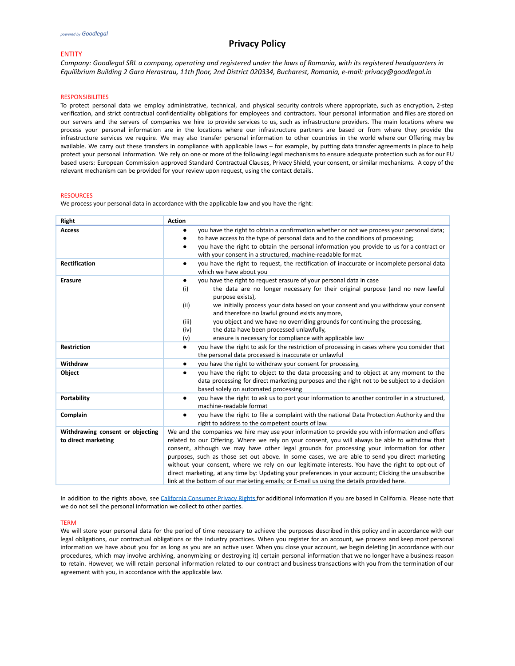### **ENTITY**

*Company: Goodlegal SRL a company, operating and registered under the laws of Romania, with its registered headquarters in Equilibrium Building 2 Gara Herastrau, 11th floor, 2nd District 020334, Bucharest, Romania, e-mail: privacy@goodlegal.io*

#### RESPONSIBILITIES

To protect personal data we employ administrative, technical, and physical security controls where appropriate, such as encryption, 2-step verification, and strict contractual confidentiality obligations for employees and contractors. Your personal information and files are stored on our servers and the servers of companies we hire to provide services to us, such as infrastructure providers. The main locations where we process your personal information are in the locations where our infrastructure partners are based or from where they provide the infrastructure services we require. We may also transfer personal information to other countries in the world where our Offering may be available. We carry out these transfers in compliance with applicable laws – for example, by putting data transfer agreements in place to help protect your personal information. We rely on one or more of the following legal mechanisms to ensure adequate protection such as for our EU based users: European Commission approved Standard Contractual Clauses, Privacy Shield, your consent, or similar mechanisms. A copy of the relevant mechanism can be provided for your review upon request, using the contact details.

#### **RESOURCES**

We process your personal data in accordance with the applicable law and you have the right:

| Right                                                   | <b>Action</b>                                                                                                                                                                                                                                                                                                                                                                                                                                                                                                                                                                                                                                                                                                    |  |
|---------------------------------------------------------|------------------------------------------------------------------------------------------------------------------------------------------------------------------------------------------------------------------------------------------------------------------------------------------------------------------------------------------------------------------------------------------------------------------------------------------------------------------------------------------------------------------------------------------------------------------------------------------------------------------------------------------------------------------------------------------------------------------|--|
| <b>Access</b>                                           | you have the right to obtain a confirmation whether or not we process your personal data;<br>٠<br>to have access to the type of personal data and to the conditions of processing;<br>٠<br>you have the right to obtain the personal information you provide to us for a contract or<br>٠<br>with your consent in a structured, machine-readable format.                                                                                                                                                                                                                                                                                                                                                         |  |
| Rectification                                           | you have the right to request, the rectification of inaccurate or incomplete personal data<br>$\bullet$<br>which we have about you                                                                                                                                                                                                                                                                                                                                                                                                                                                                                                                                                                               |  |
| <b>Erasure</b>                                          | you have the right to request erasure of your personal data in case<br>$\bullet$<br>(i)<br>the data are no longer necessary for their original purpose (and no new lawful<br>purpose exists),<br>(ii)<br>we initially process your data based on your consent and you withdraw your consent<br>and therefore no lawful ground exists anymore,<br>you object and we have no overriding grounds for continuing the processing,<br>(iii)<br>the data have been processed unlawfully,<br>(iv)<br>erasure is necessary for compliance with applicable law<br>(v)                                                                                                                                                      |  |
| <b>Restriction</b>                                      | you have the right to ask for the restriction of processing in cases where you consider that<br>$\bullet$<br>the personal data processed is inaccurate or unlawful                                                                                                                                                                                                                                                                                                                                                                                                                                                                                                                                               |  |
| Withdraw                                                | you have the right to withdraw your consent for processing<br>$\bullet$                                                                                                                                                                                                                                                                                                                                                                                                                                                                                                                                                                                                                                          |  |
| Object                                                  | you have the right to object to the data processing and to object at any moment to the<br>$\bullet$<br>data processing for direct marketing purposes and the right not to be subject to a decision<br>based solely on automated processing                                                                                                                                                                                                                                                                                                                                                                                                                                                                       |  |
| Portability                                             | you have the right to ask us to port your information to another controller in a structured,<br>$\bullet$<br>machine-readable format                                                                                                                                                                                                                                                                                                                                                                                                                                                                                                                                                                             |  |
| Complain                                                | you have the right to file a complaint with the national Data Protection Authority and the<br>$\bullet$<br>right to address to the competent courts of law.                                                                                                                                                                                                                                                                                                                                                                                                                                                                                                                                                      |  |
| Withdrawing consent or objecting<br>to direct marketing | We and the companies we hire may use your information to provide you with information and offers<br>related to our Offering. Where we rely on your consent, you will always be able to withdraw that<br>consent, although we may have other legal grounds for processing your information for other<br>purposes, such as those set out above. In some cases, we are able to send you direct marketing<br>without your consent, where we rely on our legitimate interests. You have the right to opt-out of<br>direct marketing, at any time by: Updating your preferences in your account; Clicking the unsubscribe<br>link at the bottom of our marketing emails; or E-mail us using the details provided here. |  |

In addition to the rights above, see California [Consumer](https://leginfo.legislature.ca.gov/faces/codes_displayText.xhtml?division=3.&part=4.&lawCode=CIV&title=1.81.5) Privacy Rights for additional information if you are based in California. Please note that we do not sell the personal information we collect to other parties.

# TERM

We will store your personal data for the period of time necessary to achieve the purposes described in this policy and in accordance with our legal obligations, our contractual obligations or the industry practices. When you register for an account, we process and keep most personal information we have about you for as long as you are an active user. When you close your account, we begin deleting (in accordance with our procedures, which may involve archiving, anonymizing or destroying it) certain personal information that we no longer have a business reason to retain. However, we will retain personal information related to our contract and business transactions with you from the termination of our agreement with you, in accordance with the applicable law.